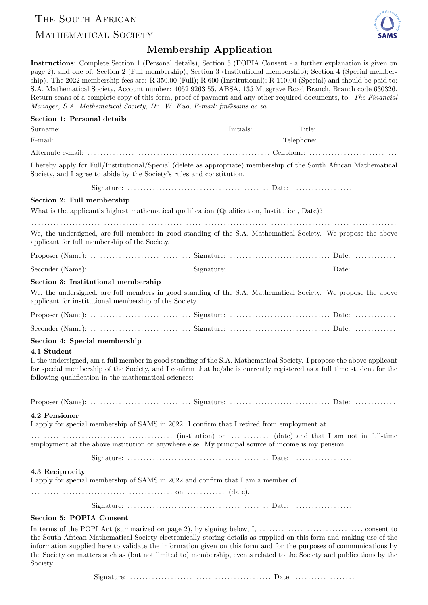## THE SOUTH AFRICAN

## MATHEMATICAL SOCIETY



## Membership Application

Instructions: Complete Section 1 (Personal details), Section 5 (POPIA Consent - a further explanation is given on page 2), and one of: Section 2 (Full membership); Section 3 (Institutional membership); Section 4 (Special membership). The 2022 membership fees are: R 350.00 (Full); R 600 (Institutional); R 110.00 (Special) and should be paid to: S.A. Mathematical Society, Account number: 4052 9263 55, ABSA, 135 Musgrave Road Branch, Branch code 630326. Return scans of a complete copy of this form, proof of payment and any other required documents, to: The Financial Manager, S.A. Mathematical Society, Dr. W. Kuo, E-mail: fm@sams.ac.za

| Section 1: Personal details                                                                                                                                                                                                                                                                               |
|-----------------------------------------------------------------------------------------------------------------------------------------------------------------------------------------------------------------------------------------------------------------------------------------------------------|
|                                                                                                                                                                                                                                                                                                           |
|                                                                                                                                                                                                                                                                                                           |
|                                                                                                                                                                                                                                                                                                           |
| I hereby apply for Full/Institutional/Special (delete as appropriate) membership of the South African Mathematical<br>Society, and I agree to abide by the Society's rules and constitution.                                                                                                              |
|                                                                                                                                                                                                                                                                                                           |
| Section 2: Full membership                                                                                                                                                                                                                                                                                |
| What is the applicant's highest mathematical qualification (Qualification, Institution, Date)?                                                                                                                                                                                                            |
| We, the undersigned, are full members in good standing of the S.A. Mathematical Society. We propose the above<br>applicant for full membership of the Society.                                                                                                                                            |
|                                                                                                                                                                                                                                                                                                           |
|                                                                                                                                                                                                                                                                                                           |
| Section 3: Institutional membership                                                                                                                                                                                                                                                                       |
| We, the undersigned, are full members in good standing of the S.A. Mathematical Society. We propose the above<br>applicant for institutional membership of the Society.                                                                                                                                   |
|                                                                                                                                                                                                                                                                                                           |
|                                                                                                                                                                                                                                                                                                           |
| Section 4: Special membership                                                                                                                                                                                                                                                                             |
| 4.1 Student                                                                                                                                                                                                                                                                                               |
| I, the undersigned, am a full member in good standing of the S.A. Mathematical Society. I propose the above applicant<br>for special membership of the Society, and I confirm that he/she is currently registered as a full time student for the<br>following qualification in the mathematical sciences: |
|                                                                                                                                                                                                                                                                                                           |
|                                                                                                                                                                                                                                                                                                           |
| 4.2 Pensioner                                                                                                                                                                                                                                                                                             |
| I apply for special membership of SAMS in 2022. I confirm that I retired from employment at                                                                                                                                                                                                               |
| (date) and that I am not in full-time<br>employment at the above institution or anywhere else. My principal source of income is my pension.                                                                                                                                                               |
|                                                                                                                                                                                                                                                                                                           |
| 4.3 Reciprocity<br>I apply for special membership of SAMS in 2022 and confirm that I am a member of                                                                                                                                                                                                       |
|                                                                                                                                                                                                                                                                                                           |
|                                                                                                                                                                                                                                                                                                           |
| Section 5: POPIA Consent                                                                                                                                                                                                                                                                                  |
| the South African Mathematical Society electronically storing details as supplied on this form and making use of the                                                                                                                                                                                      |

information supplied here to validate the information given on this form and for the purposes of communications by the Society on matters such as (but not limited to) membership, events related to the Society and publications by the Society.

Signature: . . . . . . . . . . . . . . . . . . . . . . . . . . . . . . . . . . . . . . . . . . . . . Date: . . . . . . . . . . . . . . . . . . .